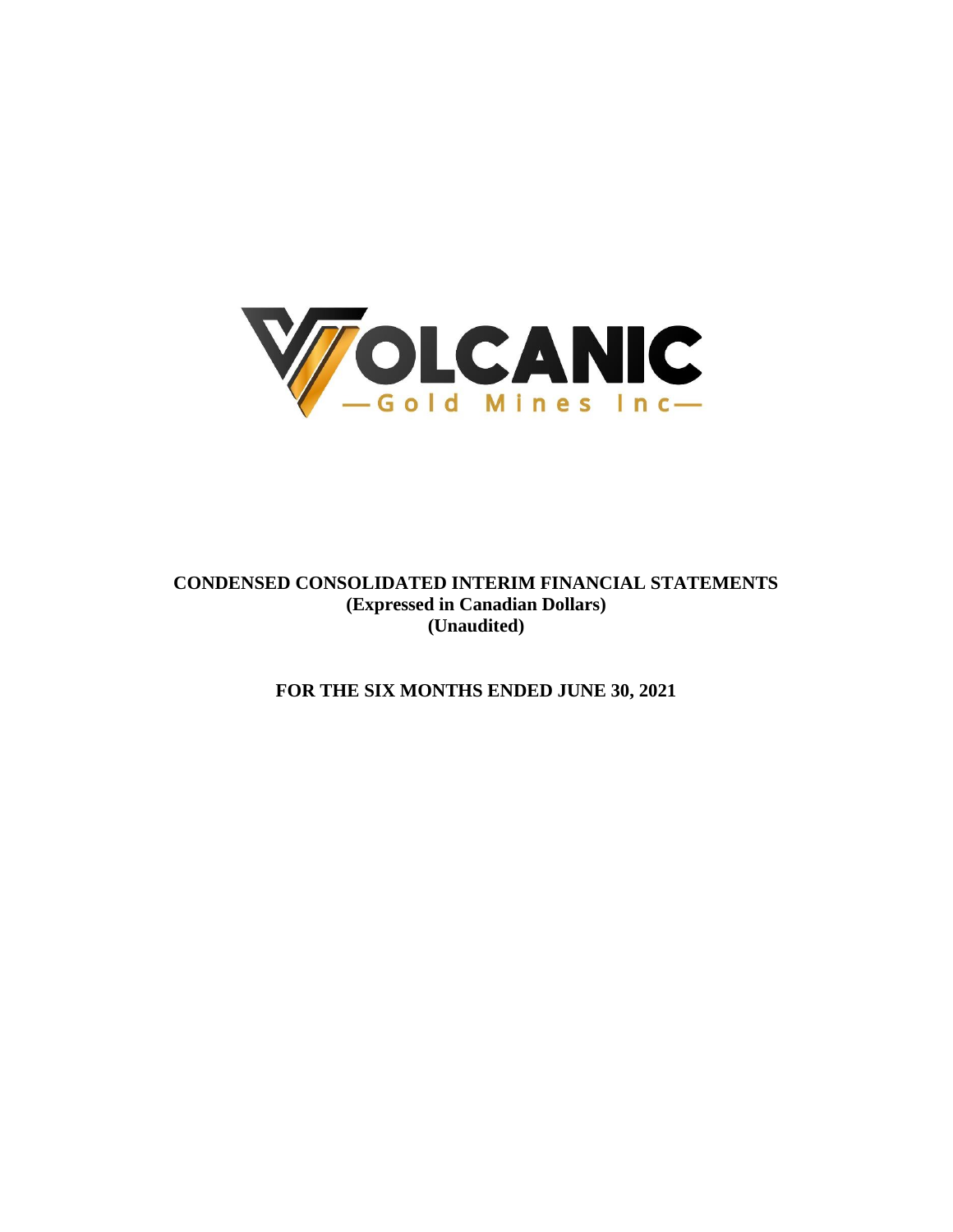

**CONDENSED CONSOLIDATED INTERIM FINANCIAL STATEMENTS (Expressed in Canadian Dollars) (Unaudited)**

**FOR THE SIX MONTHS ENDED JUNE 30, 2021**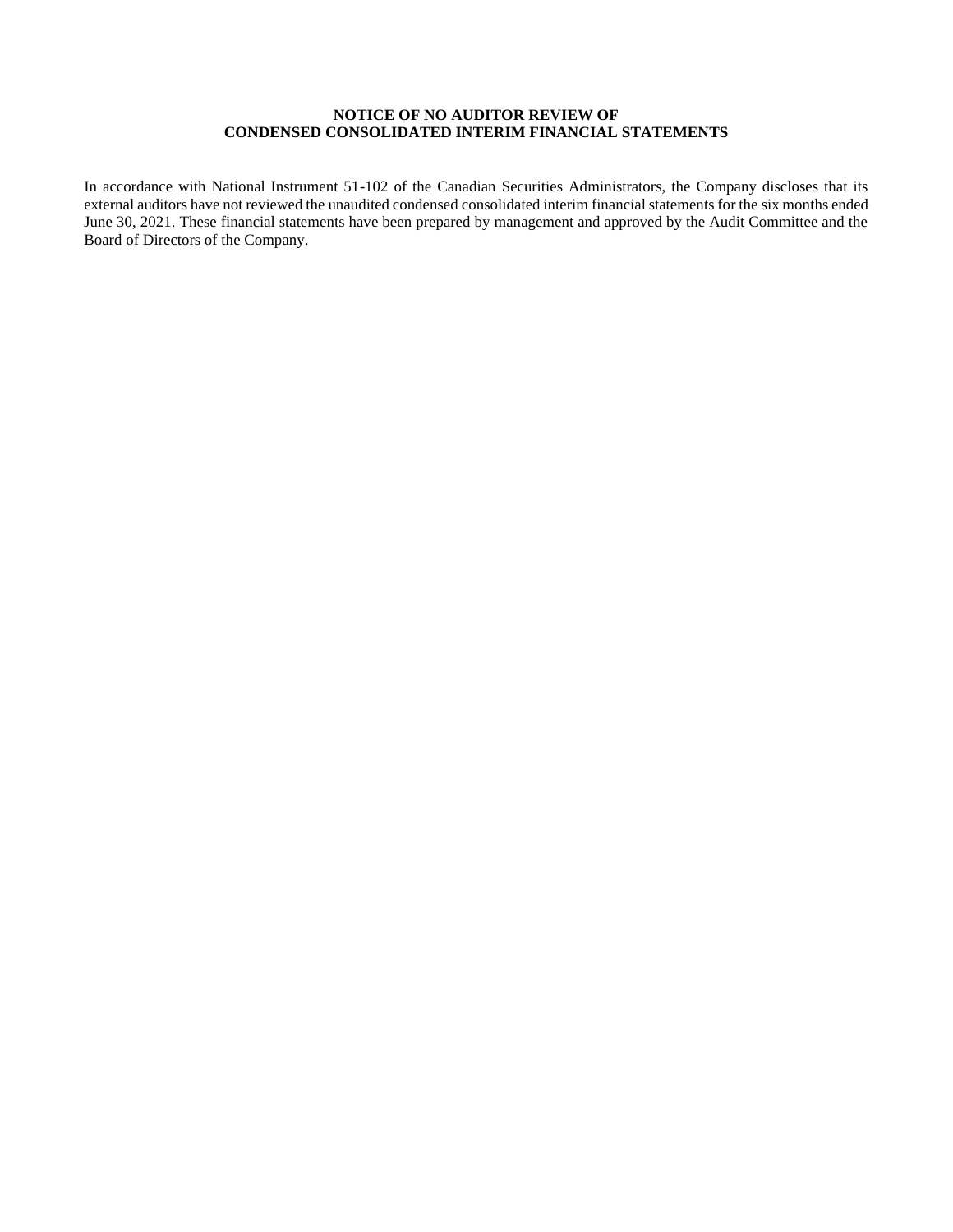# **NOTICE OF NO AUDITOR REVIEW OF CONDENSED CONSOLIDATED INTERIM FINANCIAL STATEMENTS**

In accordance with National Instrument 51-102 of the Canadian Securities Administrators, the Company discloses that its external auditors have not reviewed the unaudited condensed consolidated interim financial statements for the six months ended June 30, 2021. These financial statements have been prepared by management and approved by the Audit Committee and the Board of Directors of the Company.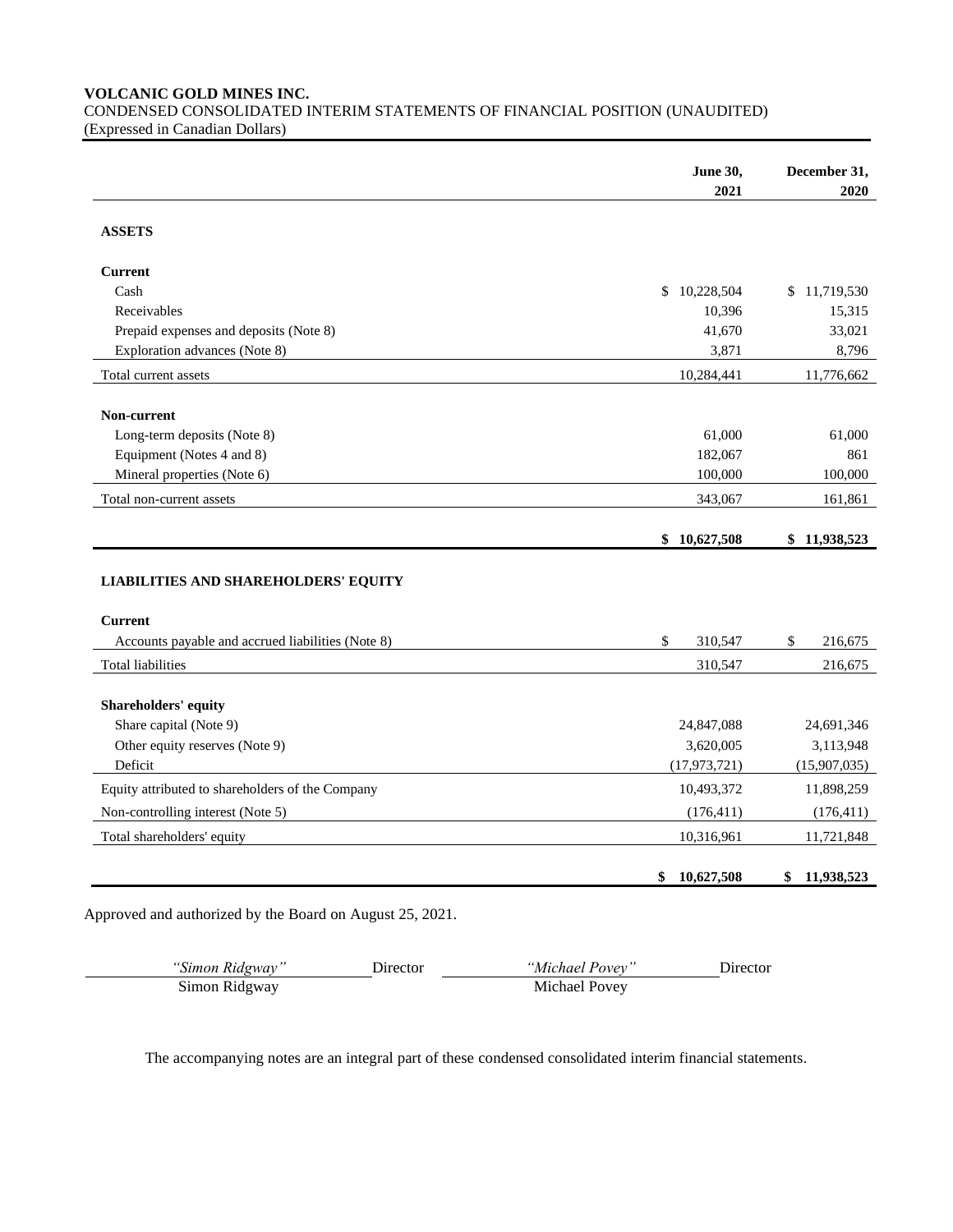**VOLCANIC GOLD MINES INC.**

CONDENSED CONSOLIDATED INTERIM STATEMENTS OF FINANCIAL POSITION (UNAUDITED) (Expressed in Canadian Dollars)

|                                                          | <b>June 30,</b>  | December 31,  |
|----------------------------------------------------------|------------------|---------------|
|                                                          | 2021             | 2020          |
| <b>ASSETS</b>                                            |                  |               |
| <b>Current</b>                                           |                  |               |
| Cash                                                     | 10,228,504<br>\$ | \$11,719,530  |
| Receivables                                              | 10,396           | 15,315        |
| Prepaid expenses and deposits (Note 8)                   | 41,670           | 33,021        |
| Exploration advances (Note 8)                            | 3,871            | 8,796         |
| Total current assets                                     | 10,284,441       | 11,776,662    |
| Non-current                                              |                  |               |
| Long-term deposits (Note 8)                              | 61,000           | 61,000        |
| Equipment (Notes 4 and 8)                                | 182,067          | 861           |
| Mineral properties (Note 6)                              | 100,000          | 100,000       |
| Total non-current assets                                 | 343,067          | 161,861       |
|                                                          | \$<br>10,627,508 | \$11,938,523  |
|                                                          |                  |               |
| <b>LIABILITIES AND SHAREHOLDERS' EQUITY</b>              |                  |               |
| <b>Current</b>                                           |                  |               |
| Accounts payable and accrued liabilities (Note 8)        | \$<br>310,547    | \$<br>216,675 |
| <b>Total liabilities</b>                                 | 310,547          | 216,675       |
|                                                          |                  |               |
| Shareholders' equity                                     | 24,847,088       | 24,691,346    |
| Share capital (Note 9)<br>Other equity reserves (Note 9) | 3,620,005        | 3,113,948     |
| Deficit                                                  | (17, 973, 721)   | (15,907,035)  |
| Equity attributed to shareholders of the Company         | 10,493,372       | 11,898,259    |
| Non-controlling interest (Note 5)                        | (176, 411)       | (176, 411)    |
| Total shareholders' equity                               | 10,316,961       | 11,721,848    |

Approved and authorized by the Board on August 25, 2021.

| "Simon Ridgway" | Director | "Michael Povev" | Director |
|-----------------|----------|-----------------|----------|
| Simon Ridgway   |          | Michael Povev   |          |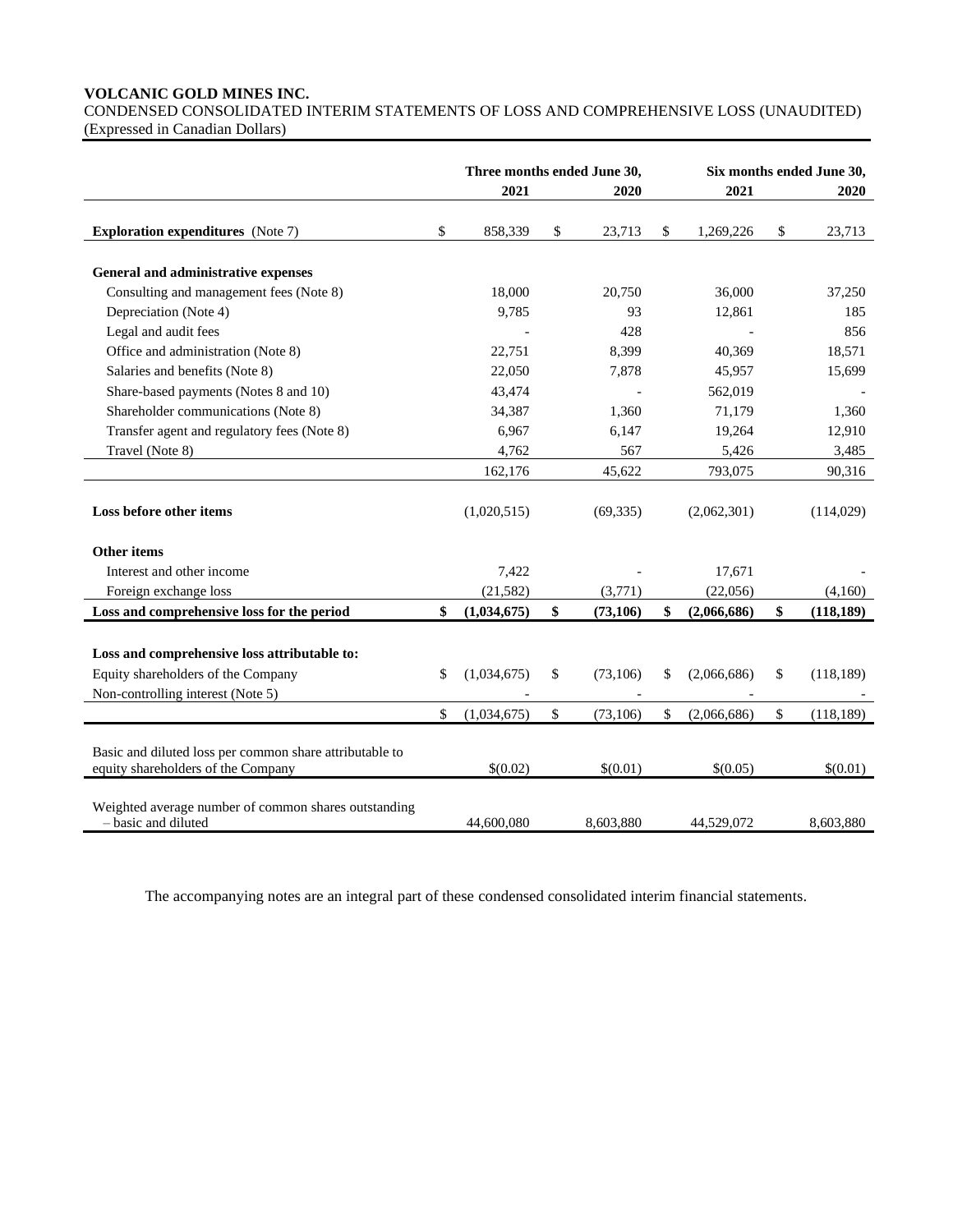# **VOLCANIC GOLD MINES INC.**

CONDENSED CONSOLIDATED INTERIM STATEMENTS OF LOSS AND COMPREHENSIVE LOSS (UNAUDITED) (Expressed in Canadian Dollars)

|                                                                                                                         | Three months ended June 30, |             |              |           | Six months ended June 30, |             |    |            |
|-------------------------------------------------------------------------------------------------------------------------|-----------------------------|-------------|--------------|-----------|---------------------------|-------------|----|------------|
|                                                                                                                         |                             | 2021        |              | 2020      |                           | 2021        |    | 2020       |
| <b>Exploration expenditures</b> (Note 7)                                                                                | \$                          | 858,339     | \$           | 23,713    | \$                        | 1,269,226   | \$ | 23,713     |
|                                                                                                                         |                             |             |              |           |                           |             |    |            |
| General and administrative expenses                                                                                     |                             |             |              |           |                           |             |    |            |
| Consulting and management fees (Note 8)                                                                                 |                             | 18,000      |              | 20,750    |                           | 36,000      |    | 37,250     |
| Depreciation (Note 4)                                                                                                   |                             | 9,785       |              | 93        |                           | 12,861      |    | 185        |
| Legal and audit fees                                                                                                    |                             |             |              | 428       |                           |             |    | 856        |
| Office and administration (Note 8)                                                                                      |                             | 22,751      |              | 8,399     |                           | 40,369      |    | 18,571     |
| Salaries and benefits (Note 8)                                                                                          |                             | 22,050      |              | 7,878     |                           | 45,957      |    | 15,699     |
| Share-based payments (Notes 8 and 10)                                                                                   |                             | 43,474      |              |           |                           | 562,019     |    |            |
| Shareholder communications (Note 8)                                                                                     |                             | 34,387      |              | 1,360     |                           | 71,179      |    | 1,360      |
| Transfer agent and regulatory fees (Note 8)                                                                             |                             | 6,967       |              | 6,147     |                           | 19,264      |    | 12,910     |
| Travel (Note 8)                                                                                                         |                             | 4,762       |              | 567       |                           | 5,426       |    | 3,485      |
|                                                                                                                         |                             | 162,176     |              | 45,622    |                           | 793,075     |    | 90,316     |
| Loss before other items                                                                                                 |                             | (1,020,515) |              | (69, 335) |                           | (2,062,301) |    | (114,029)  |
| Other items                                                                                                             |                             |             |              |           |                           |             |    |            |
| Interest and other income                                                                                               |                             | 7,422       |              |           |                           | 17,671      |    |            |
| Foreign exchange loss                                                                                                   |                             | (21, 582)   |              | (3,771)   |                           | (22,056)    |    | (4,160)    |
| Loss and comprehensive loss for the period                                                                              | \$                          | (1,034,675) | $\mathbf{s}$ | (73, 106) | \$                        | (2,066,686) | \$ | (118, 189) |
| Loss and comprehensive loss attributable to:<br>Equity shareholders of the Company<br>Non-controlling interest (Note 5) | \$                          | (1,034,675) | \$           | (73,106)  | \$                        | (2,066,686) | \$ | (118, 189) |
|                                                                                                                         | \$                          | (1,034,675) | \$           | (73,106)  | \$                        | (2,066,686) | \$ | (118, 189) |
| Basic and diluted loss per common share attributable to<br>equity shareholders of the Company                           |                             | \$(0.02)    |              | \$(0.01)  |                           | \$(0.05)    |    | \$(0.01)   |
| Weighted average number of common shares outstanding<br>- basic and diluted                                             |                             | 44,600,080  |              | 8,603,880 |                           | 44,529,072  |    | 8,603,880  |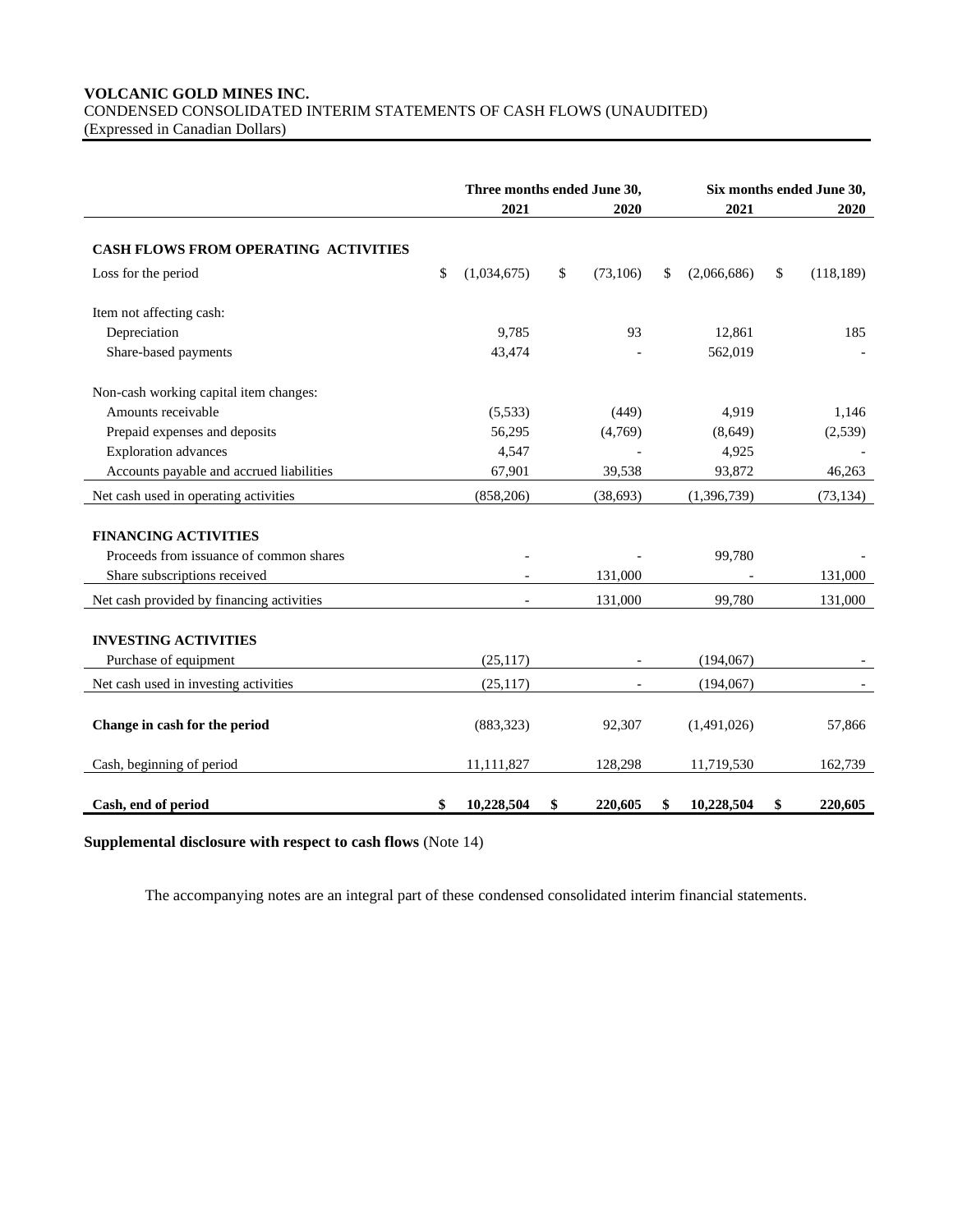# **VOLCANIC GOLD MINES INC.** CONDENSED CONSOLIDATED INTERIM STATEMENTS OF CASH FLOWS (UNAUDITED) (Expressed in Canadian Dollars)

|                                             | Three months ended June 30, |             |    | Six months ended June 30, |                   |    |            |
|---------------------------------------------|-----------------------------|-------------|----|---------------------------|-------------------|----|------------|
|                                             |                             | 2021        |    | 2020                      | 2021              |    | 2020       |
| <b>CASH FLOWS FROM OPERATING ACTIVITIES</b> |                             |             |    |                           |                   |    |            |
| Loss for the period                         | \$                          | (1,034,675) | \$ | (73, 106)                 | \$<br>(2,066,686) | \$ | (118, 189) |
| Item not affecting cash:                    |                             |             |    |                           |                   |    |            |
| Depreciation                                |                             | 9.785       |    | 93                        | 12,861            |    | 185        |
| Share-based payments                        |                             | 43,474      |    |                           | 562,019           |    |            |
| Non-cash working capital item changes:      |                             |             |    |                           |                   |    |            |
| Amounts receivable                          |                             | (5,533)     |    | (449)                     | 4,919             |    | 1,146      |
| Prepaid expenses and deposits               |                             | 56,295      |    | (4,769)                   | (8,649)           |    | (2,539)    |
| <b>Exploration</b> advances                 |                             | 4,547       |    |                           | 4,925             |    |            |
| Accounts payable and accrued liabilities    |                             | 67,901      |    | 39,538                    | 93,872            |    | 46,263     |
| Net cash used in operating activities       |                             | (858, 206)  |    | (38, 693)                 | (1,396,739)       |    | (73, 134)  |
| <b>FINANCING ACTIVITIES</b>                 |                             |             |    |                           |                   |    |            |
| Proceeds from issuance of common shares     |                             |             |    |                           | 99,780            |    |            |
| Share subscriptions received                |                             |             |    | 131,000                   |                   |    | 131,000    |
| Net cash provided by financing activities   |                             |             |    | 131,000                   | 99,780            |    | 131,000    |
| <b>INVESTING ACTIVITIES</b>                 |                             |             |    |                           |                   |    |            |
| Purchase of equipment                       |                             | (25,117)    |    |                           | (194, 067)        |    |            |
| Net cash used in investing activities       |                             | (25, 117)   |    |                           | (194,067)         |    |            |
|                                             |                             |             |    |                           |                   |    |            |
| Change in cash for the period               |                             | (883, 323)  |    | 92,307                    | (1,491,026)       |    | 57,866     |
| Cash, beginning of period                   |                             | 11,111,827  |    | 128,298                   | 11,719,530        |    | 162,739    |
| Cash, end of period                         | \$                          | 10,228,504  | \$ | 220,605                   | \$<br>10,228,504  | \$ | 220,605    |

**Supplemental disclosure with respect to cash flows** (Note 14)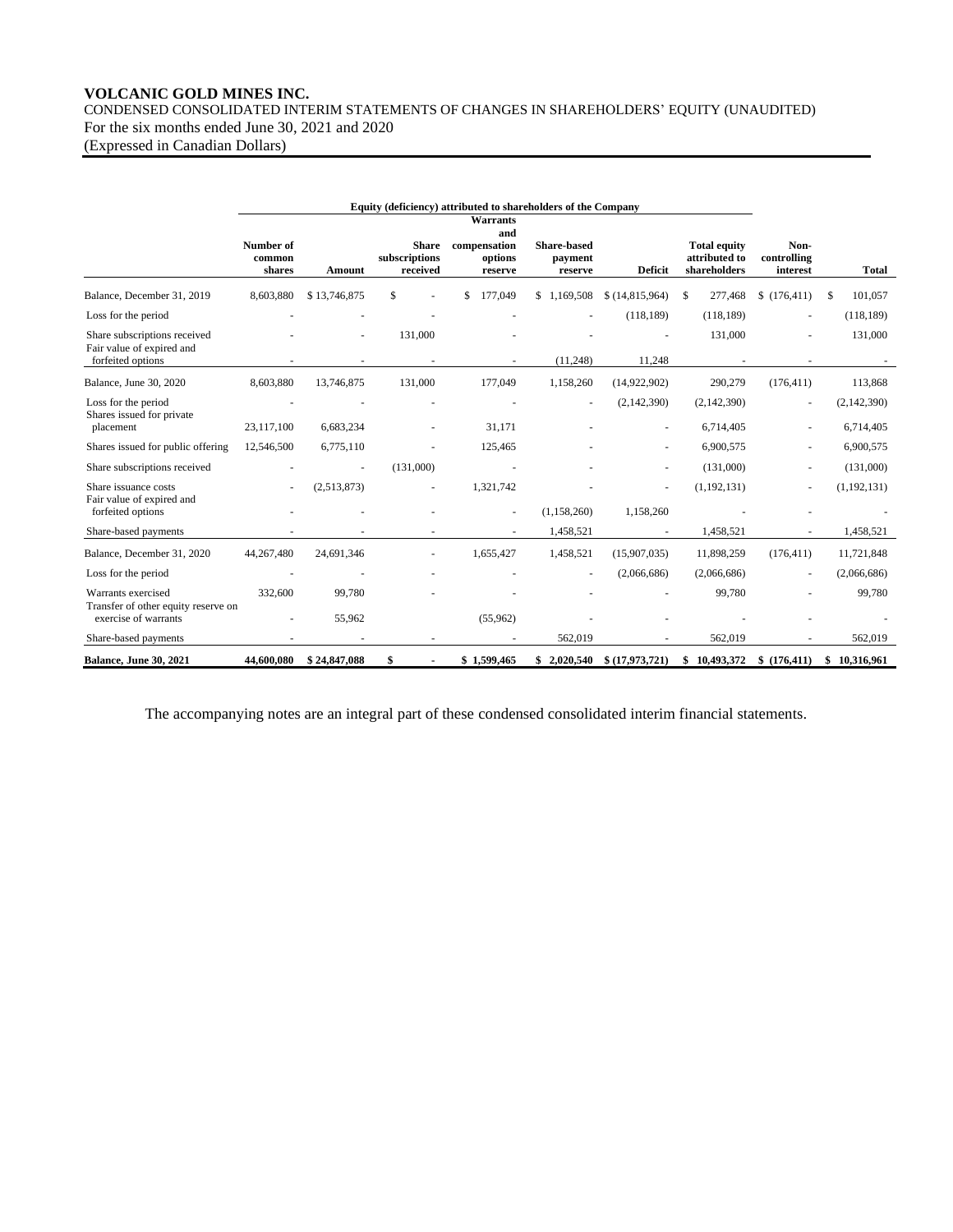# **VOLCANIC GOLD MINES INC.** CONDENSED CONSOLIDATED INTERIM STATEMENTS OF CHANGES IN SHAREHOLDERS' EQUITY (UNAUDITED) For the six months ended June 30, 2021 and 2020

(Expressed in Canadian Dollars)

|                                                                                |                               |              |                                           | <b>Warrants</b><br>and             |                                          |                |                                                      |                                 |                |
|--------------------------------------------------------------------------------|-------------------------------|--------------|-------------------------------------------|------------------------------------|------------------------------------------|----------------|------------------------------------------------------|---------------------------------|----------------|
|                                                                                | Number of<br>common<br>shares | Amount       | <b>Share</b><br>subscriptions<br>received | compensation<br>options<br>reserve | <b>Share-based</b><br>payment<br>reserve | <b>Deficit</b> | <b>Total equity</b><br>attributed to<br>shareholders | Non-<br>controlling<br>interest | <b>Total</b>   |
| Balance, December 31, 2019                                                     | 8,603,880                     | \$13,746,875 | \$                                        | 177,049                            | 1,169,508<br>\$.                         | \$(14,815,964) | 277,468<br>\$.                                       | \$(176, 411)                    | 101.057<br>\$. |
| Loss for the period                                                            |                               |              |                                           |                                    |                                          | (118, 189)     | (118, 189)                                           |                                 | (118, 189)     |
| Share subscriptions received<br>Fair value of expired and<br>forfeited options |                               |              | 131,000                                   |                                    | (11,248)                                 | 11,248         | 131,000                                              |                                 | 131,000        |
|                                                                                |                               |              |                                           |                                    |                                          |                |                                                      |                                 |                |
| Balance, June 30, 2020                                                         | 8,603,880                     | 13,746,875   | 131,000                                   | 177,049                            | 1,158,260                                | (14,922,902)   | 290,279                                              | (176, 411)                      | 113,868        |
| Loss for the period<br>Shares issued for private                               |                               |              |                                           |                                    |                                          | (2,142,390)    | (2,142,390)                                          |                                 | (2,142,390)    |
| placement                                                                      | 23,117,100                    | 6,683,234    |                                           | 31.171                             |                                          |                | 6,714,405                                            |                                 | 6,714,405      |
| Shares issued for public offering                                              | 12,546,500                    | 6,775,110    |                                           | 125,465                            |                                          |                | 6,900,575                                            |                                 | 6,900,575      |
| Share subscriptions received                                                   |                               |              | (131.000)                                 |                                    |                                          |                | (131,000)                                            |                                 | (131,000)      |
| Share issuance costs                                                           |                               | (2,513,873)  |                                           | 1,321,742                          |                                          |                | (1, 192, 131)                                        |                                 | (1, 192, 131)  |
| Fair value of expired and<br>forfeited options                                 |                               |              |                                           |                                    | (1, 158, 260)                            | 1,158,260      |                                                      |                                 |                |
| Share-based payments                                                           |                               |              |                                           |                                    | 1,458,521                                |                | 1,458,521                                            |                                 | 1,458,521      |
| Balance, December 31, 2020                                                     | 44.267.480                    | 24.691.346   |                                           | 1.655.427                          | 1,458,521                                | (15,907,035)   | 11,898,259                                           | (176.411)                       | 11,721,848     |
| Loss for the period                                                            |                               |              |                                           |                                    | $\overline{\phantom{a}}$                 | (2,066,686)    | (2,066,686)                                          |                                 | (2,066,686)    |
| Warrants exercised<br>Transfer of other equity reserve on                      | 332,600                       | 99,780       |                                           |                                    |                                          |                | 99,780                                               |                                 | 99,780         |
| exercise of warrants                                                           |                               | 55,962       |                                           | (55,962)                           |                                          |                |                                                      |                                 |                |
| Share-based payments                                                           |                               |              |                                           |                                    | 562,019                                  |                | 562,019                                              |                                 | 562,019        |
| <b>Balance, June 30, 2021</b>                                                  | 44,600,080                    | \$24,847,088 | \$                                        | \$1,599,465                        | \$2,020,540                              | \$(17,973,721) | \$10,493,372                                         | \$(176, 411)                    | \$10,316,961   |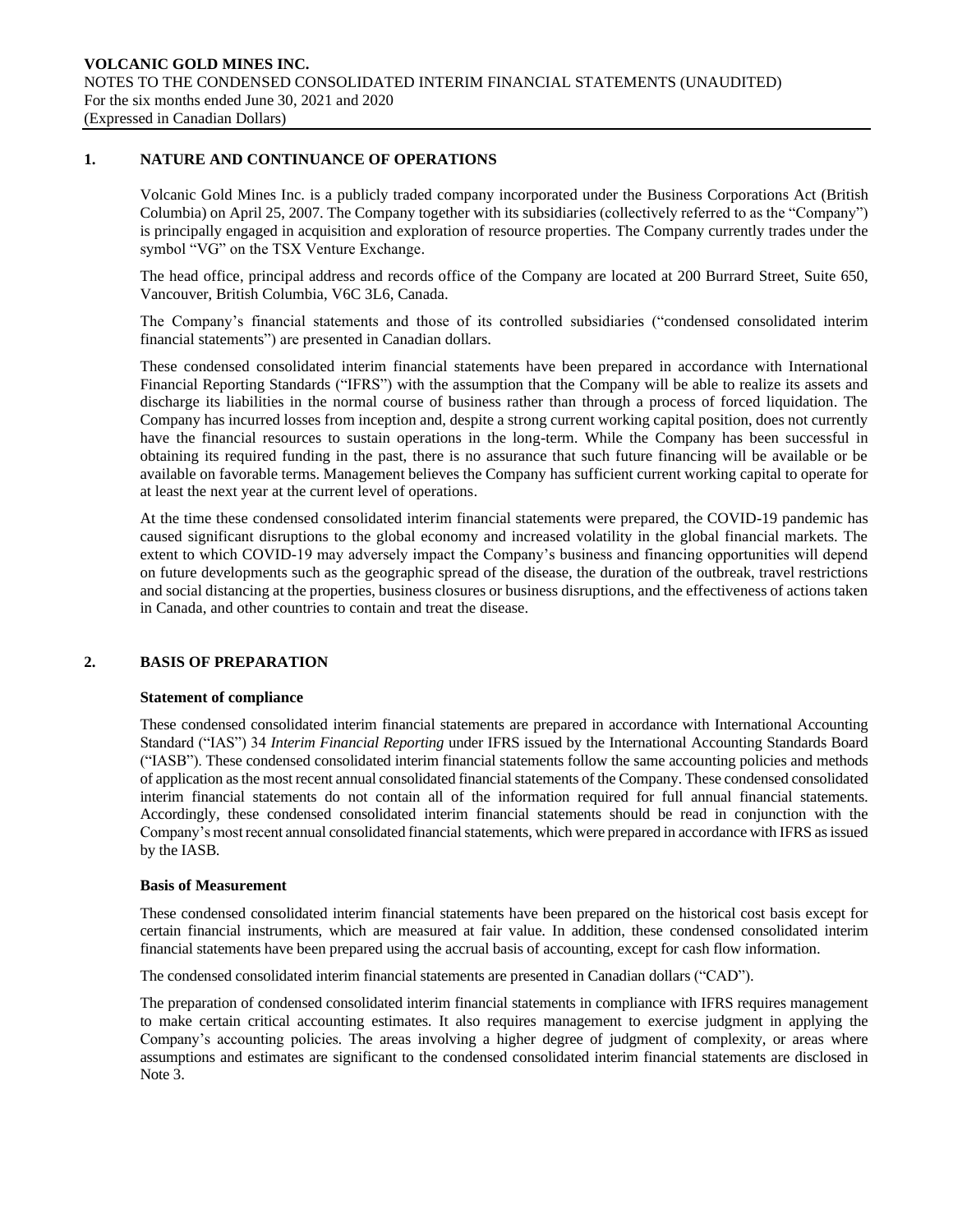## **1. NATURE AND CONTINUANCE OF OPERATIONS**

Volcanic Gold Mines Inc. is a publicly traded company incorporated under the Business Corporations Act (British Columbia) on April 25, 2007. The Company together with its subsidiaries (collectively referred to as the "Company") is principally engaged in acquisition and exploration of resource properties. The Company currently trades under the symbol "VG" on the TSX Venture Exchange.

The head office, principal address and records office of the Company are located at 200 Burrard Street, Suite 650, Vancouver, British Columbia, V6C 3L6, Canada.

The Company's financial statements and those of its controlled subsidiaries ("condensed consolidated interim financial statements") are presented in Canadian dollars.

These condensed consolidated interim financial statements have been prepared in accordance with International Financial Reporting Standards ("IFRS") with the assumption that the Company will be able to realize its assets and discharge its liabilities in the normal course of business rather than through a process of forced liquidation. The Company has incurred losses from inception and, despite a strong current working capital position, does not currently have the financial resources to sustain operations in the long-term. While the Company has been successful in obtaining its required funding in the past, there is no assurance that such future financing will be available or be available on favorable terms. Management believes the Company has sufficient current working capital to operate for at least the next year at the current level of operations.

At the time these condensed consolidated interim financial statements were prepared, the COVID-19 pandemic has caused significant disruptions to the global economy and increased volatility in the global financial markets. The extent to which COVID-19 may adversely impact the Company's business and financing opportunities will depend on future developments such as the geographic spread of the disease, the duration of the outbreak, travel restrictions and social distancing at the properties, business closures or business disruptions, and the effectiveness of actions taken in Canada, and other countries to contain and treat the disease.

## **2. BASIS OF PREPARATION**

## **Statement of compliance**

These condensed consolidated interim financial statements are prepared in accordance with International Accounting Standard ("IAS") 34 *Interim Financial Reporting* under IFRS issued by the International Accounting Standards Board ("IASB"). These condensed consolidated interim financial statements follow the same accounting policies and methods of application as the most recent annual consolidated financial statements of the Company. These condensed consolidated interim financial statements do not contain all of the information required for full annual financial statements. Accordingly, these condensed consolidated interim financial statements should be read in conjunction with the Company's most recent annual consolidated financial statements, which were prepared in accordance with IFRS as issued by the IASB.

## **Basis of Measurement**

These condensed consolidated interim financial statements have been prepared on the historical cost basis except for certain financial instruments, which are measured at fair value. In addition, these condensed consolidated interim financial statements have been prepared using the accrual basis of accounting, except for cash flow information.

The condensed consolidated interim financial statements are presented in Canadian dollars ("CAD").

The preparation of condensed consolidated interim financial statements in compliance with IFRS requires management to make certain critical accounting estimates. It also requires management to exercise judgment in applying the Company's accounting policies. The areas involving a higher degree of judgment of complexity, or areas where assumptions and estimates are significant to the condensed consolidated interim financial statements are disclosed in Note 3.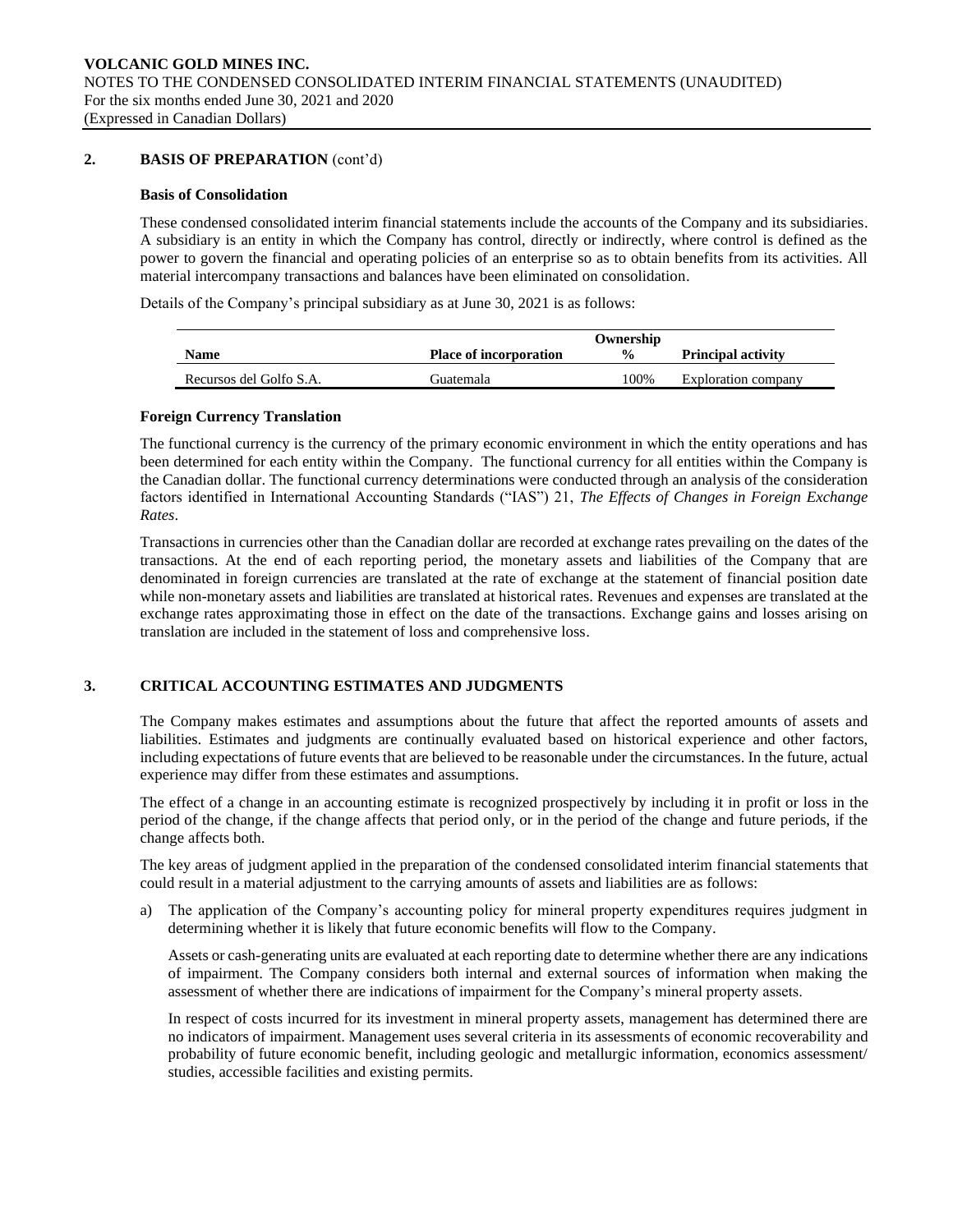# **2. BASIS OF PREPARATION** (cont'd)

## **Basis of Consolidation**

These condensed consolidated interim financial statements include the accounts of the Company and its subsidiaries. A subsidiary is an entity in which the Company has control, directly or indirectly, where control is defined as the power to govern the financial and operating policies of an enterprise so as to obtain benefits from its activities. All material intercompany transactions and balances have been eliminated on consolidation.

Details of the Company's principal subsidiary as at June 30, 2021 is as follows:

|                         |                               | Ownership     |                           |
|-------------------------|-------------------------------|---------------|---------------------------|
| Name                    | <b>Place of incorporation</b> | $\frac{0}{0}$ | <b>Principal activity</b> |
| Recursos del Golfo S.A. | Guatemala)                    | 100%          | Exploration company       |

## **Foreign Currency Translation**

The functional currency is the currency of the primary economic environment in which the entity operations and has been determined for each entity within the Company. The functional currency for all entities within the Company is the Canadian dollar. The functional currency determinations were conducted through an analysis of the consideration factors identified in International Accounting Standards ("IAS") 21, *The Effects of Changes in Foreign Exchange Rates*.

Transactions in currencies other than the Canadian dollar are recorded at exchange rates prevailing on the dates of the transactions. At the end of each reporting period, the monetary assets and liabilities of the Company that are denominated in foreign currencies are translated at the rate of exchange at the statement of financial position date while non-monetary assets and liabilities are translated at historical rates. Revenues and expenses are translated at the exchange rates approximating those in effect on the date of the transactions. Exchange gains and losses arising on translation are included in the statement of loss and comprehensive loss.

# **3. CRITICAL ACCOUNTING ESTIMATES AND JUDGMENTS**

The Company makes estimates and assumptions about the future that affect the reported amounts of assets and liabilities. Estimates and judgments are continually evaluated based on historical experience and other factors, including expectations of future events that are believed to be reasonable under the circumstances. In the future, actual experience may differ from these estimates and assumptions.

The effect of a change in an accounting estimate is recognized prospectively by including it in profit or loss in the period of the change, if the change affects that period only, or in the period of the change and future periods, if the change affects both.

The key areas of judgment applied in the preparation of the condensed consolidated interim financial statements that could result in a material adjustment to the carrying amounts of assets and liabilities are as follows:

a) The application of the Company's accounting policy for mineral property expenditures requires judgment in determining whether it is likely that future economic benefits will flow to the Company.

Assets or cash-generating units are evaluated at each reporting date to determine whether there are any indications of impairment. The Company considers both internal and external sources of information when making the assessment of whether there are indications of impairment for the Company's mineral property assets.

In respect of costs incurred for its investment in mineral property assets, management has determined there are no indicators of impairment. Management uses several criteria in its assessments of economic recoverability and probability of future economic benefit, including geologic and metallurgic information, economics assessment/ studies, accessible facilities and existing permits.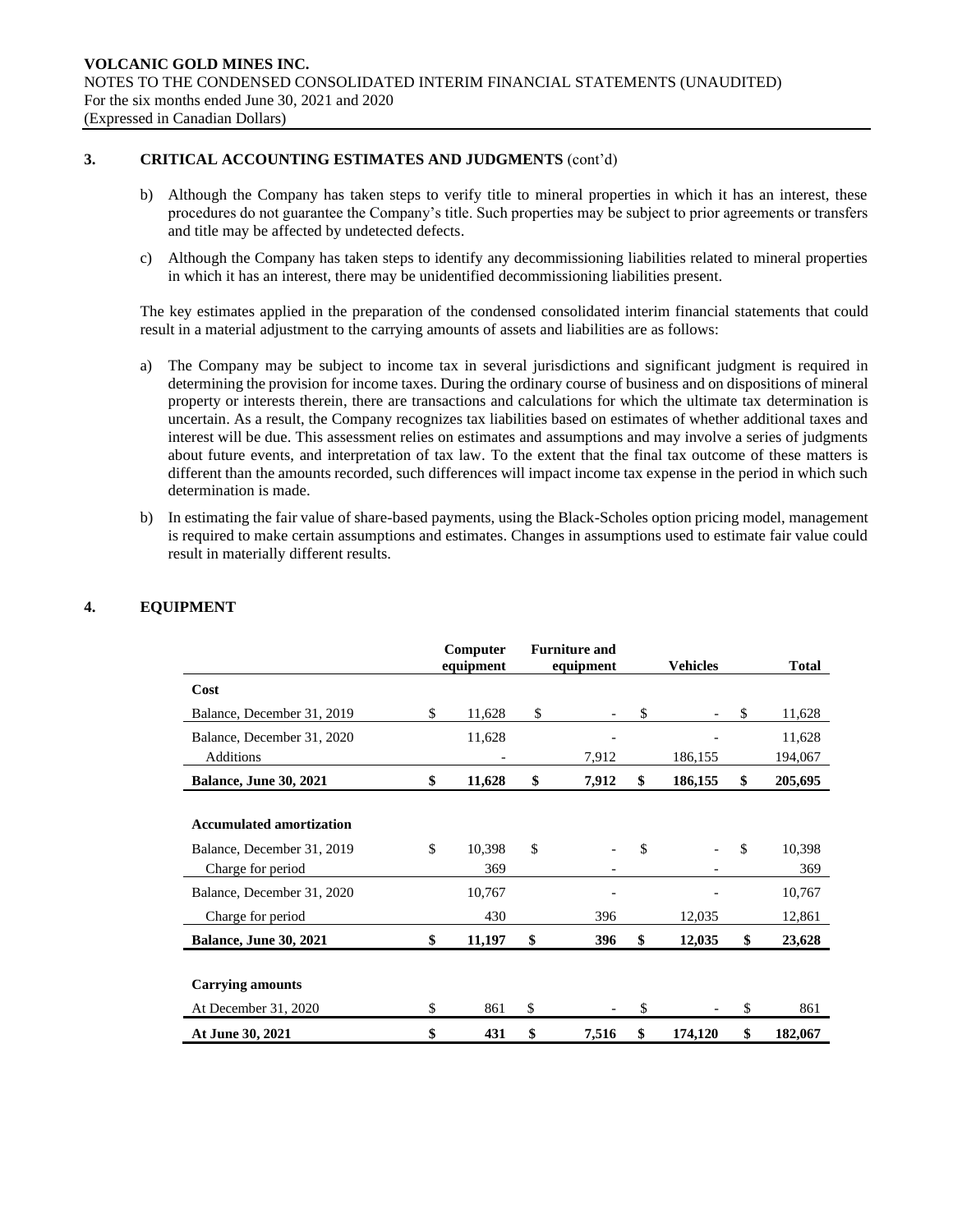# **3. CRITICAL ACCOUNTING ESTIMATES AND JUDGMENTS** (cont'd)

- b) Although the Company has taken steps to verify title to mineral properties in which it has an interest, these procedures do not guarantee the Company's title. Such properties may be subject to prior agreements or transfers and title may be affected by undetected defects.
- c) Although the Company has taken steps to identify any decommissioning liabilities related to mineral properties in which it has an interest, there may be unidentified decommissioning liabilities present.

The key estimates applied in the preparation of the condensed consolidated interim financial statements that could result in a material adjustment to the carrying amounts of assets and liabilities are as follows:

- a) The Company may be subject to income tax in several jurisdictions and significant judgment is required in determining the provision for income taxes. During the ordinary course of business and on dispositions of mineral property or interests therein, there are transactions and calculations for which the ultimate tax determination is uncertain. As a result, the Company recognizes tax liabilities based on estimates of whether additional taxes and interest will be due. This assessment relies on estimates and assumptions and may involve a series of judgments about future events, and interpretation of tax law. To the extent that the final tax outcome of these matters is different than the amounts recorded, such differences will impact income tax expense in the period in which such determination is made.
- b) In estimating the fair value of share-based payments, using the Black-Scholes option pricing model, management is required to make certain assumptions and estimates. Changes in assumptions used to estimate fair value could result in materially different results.

|                                 | Computer<br>equipment | <b>Furniture and</b><br>equipment |       | <b>Vehicles</b> |         |              | <b>Total</b> |
|---------------------------------|-----------------------|-----------------------------------|-------|-----------------|---------|--------------|--------------|
| Cost                            |                       |                                   |       |                 |         |              |              |
| Balance, December 31, 2019      | \$<br>11,628          | \$                                |       | \$              |         | $\mathbb{S}$ | 11,628       |
| Balance, December 31, 2020      | 11,628                |                                   |       |                 |         |              | 11,628       |
| Additions                       |                       |                                   | 7,912 |                 | 186,155 |              | 194,067      |
| <b>Balance, June 30, 2021</b>   | \$<br>11,628          | \$                                | 7,912 | \$              | 186,155 | \$           | 205,695      |
|                                 |                       |                                   |       |                 |         |              |              |
| <b>Accumulated amortization</b> |                       |                                   |       |                 |         |              |              |
| Balance, December 31, 2019      | \$<br>10,398          | \$                                |       | \$              |         | \$.          | 10,398       |
| Charge for period               | 369                   |                                   |       |                 |         |              | 369          |
| Balance, December 31, 2020      | 10,767                |                                   |       |                 |         |              | 10,767       |
| Charge for period               | 430                   |                                   | 396   |                 | 12,035  |              | 12,861       |
| <b>Balance, June 30, 2021</b>   | \$<br>11,197          | \$                                | 396   | \$              | 12,035  | \$           | 23,628       |
|                                 |                       |                                   |       |                 |         |              |              |
| <b>Carrying amounts</b>         |                       |                                   |       |                 |         |              |              |
| At December 31, 2020            | \$<br>861             | \$                                |       | \$              |         | \$           | 861          |
| At June 30, 2021                | \$<br>431             | \$                                | 7,516 | \$              | 174,120 | \$           | 182,067      |

# **4. EQUIPMENT**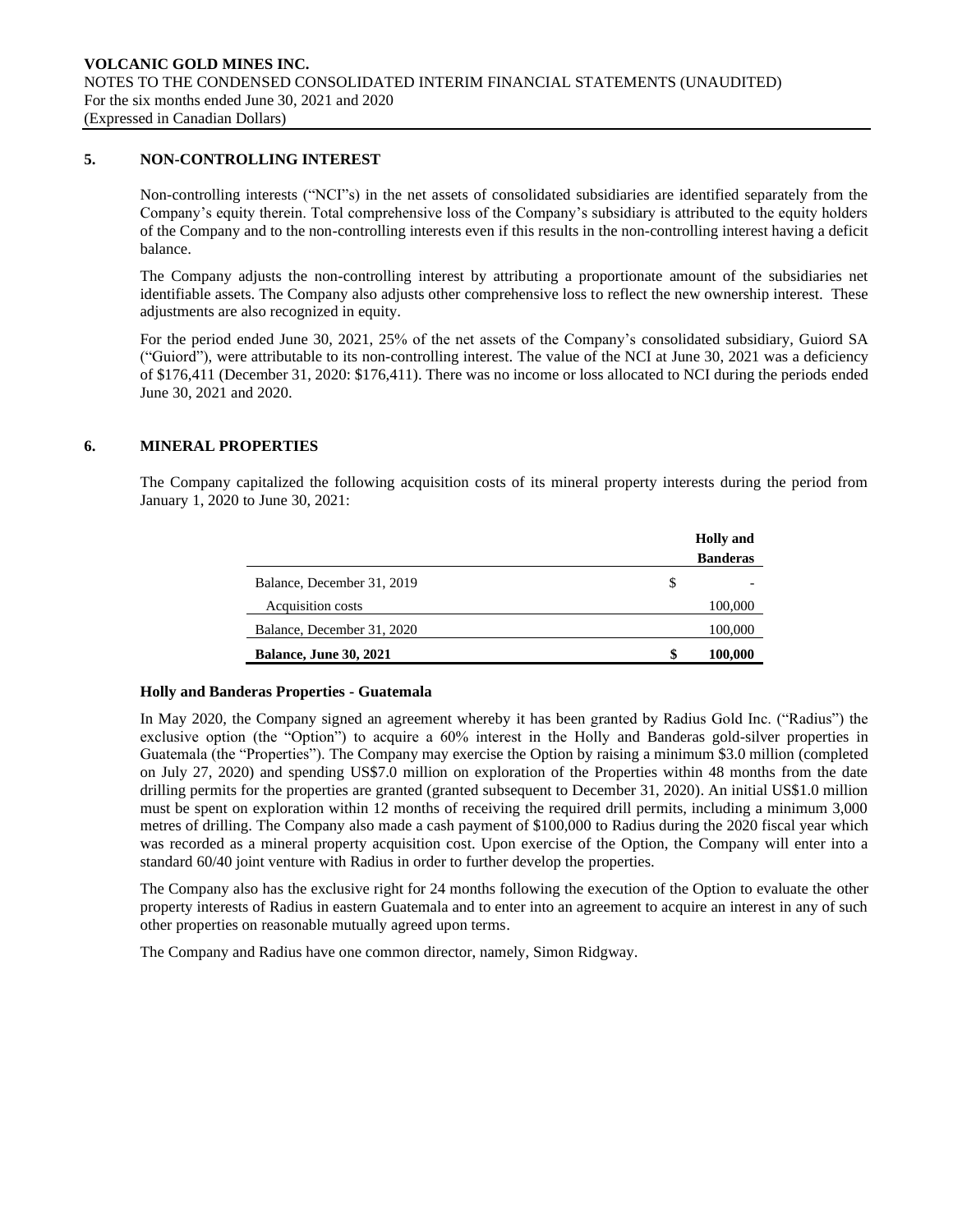# **5. NON-CONTROLLING INTEREST**

Non-controlling interests ("NCI"s) in the net assets of consolidated subsidiaries are identified separately from the Company's equity therein. Total comprehensive loss of the Company's subsidiary is attributed to the equity holders of the Company and to the non-controlling interests even if this results in the non-controlling interest having a deficit balance.

The Company adjusts the non-controlling interest by attributing a proportionate amount of the subsidiaries net identifiable assets. The Company also adjusts other comprehensive loss to reflect the new ownership interest. These adjustments are also recognized in equity.

For the period ended June 30, 2021, 25% of the net assets of the Company's consolidated subsidiary, Guiord SA ("Guiord"), were attributable to its non-controlling interest. The value of the NCI at June 30, 2021 was a deficiency of \$176,411 (December 31, 2020: \$176,411). There was no income or loss allocated to NCI during the periods ended June 30, 2021 and 2020.

# **6. MINERAL PROPERTIES**

The Company capitalized the following acquisition costs of its mineral property interests during the period from January 1, 2020 to June 30, 2021:

|                               |    | <b>Holly</b> and |
|-------------------------------|----|------------------|
|                               |    | <b>Banderas</b>  |
| Balance, December 31, 2019    | S  |                  |
| Acquisition costs             |    | 100,000          |
| Balance, December 31, 2020    |    | 100,000          |
| <b>Balance, June 30, 2021</b> | \$ | 100,000          |

## **Holly and Banderas Properties - Guatemala**

In May 2020, the Company signed an agreement whereby it has been granted by Radius Gold Inc. ("Radius") the exclusive option (the "Option") to acquire a 60% interest in the Holly and Banderas gold-silver properties in Guatemala (the "Properties"). The Company may exercise the Option by raising a minimum \$3.0 million (completed on July 27, 2020) and spending US\$7.0 million on exploration of the Properties within 48 months from the date drilling permits for the properties are granted (granted subsequent to December 31, 2020). An initial US\$1.0 million must be spent on exploration within 12 months of receiving the required drill permits, including a minimum 3,000 metres of drilling. The Company also made a cash payment of \$100,000 to Radius during the 2020 fiscal year which was recorded as a mineral property acquisition cost. Upon exercise of the Option, the Company will enter into a standard 60/40 joint venture with Radius in order to further develop the properties.

The Company also has the exclusive right for 24 months following the execution of the Option to evaluate the other property interests of Radius in eastern Guatemala and to enter into an agreement to acquire an interest in any of such other properties on reasonable mutually agreed upon terms.

The Company and Radius have one common director, namely, Simon Ridgway.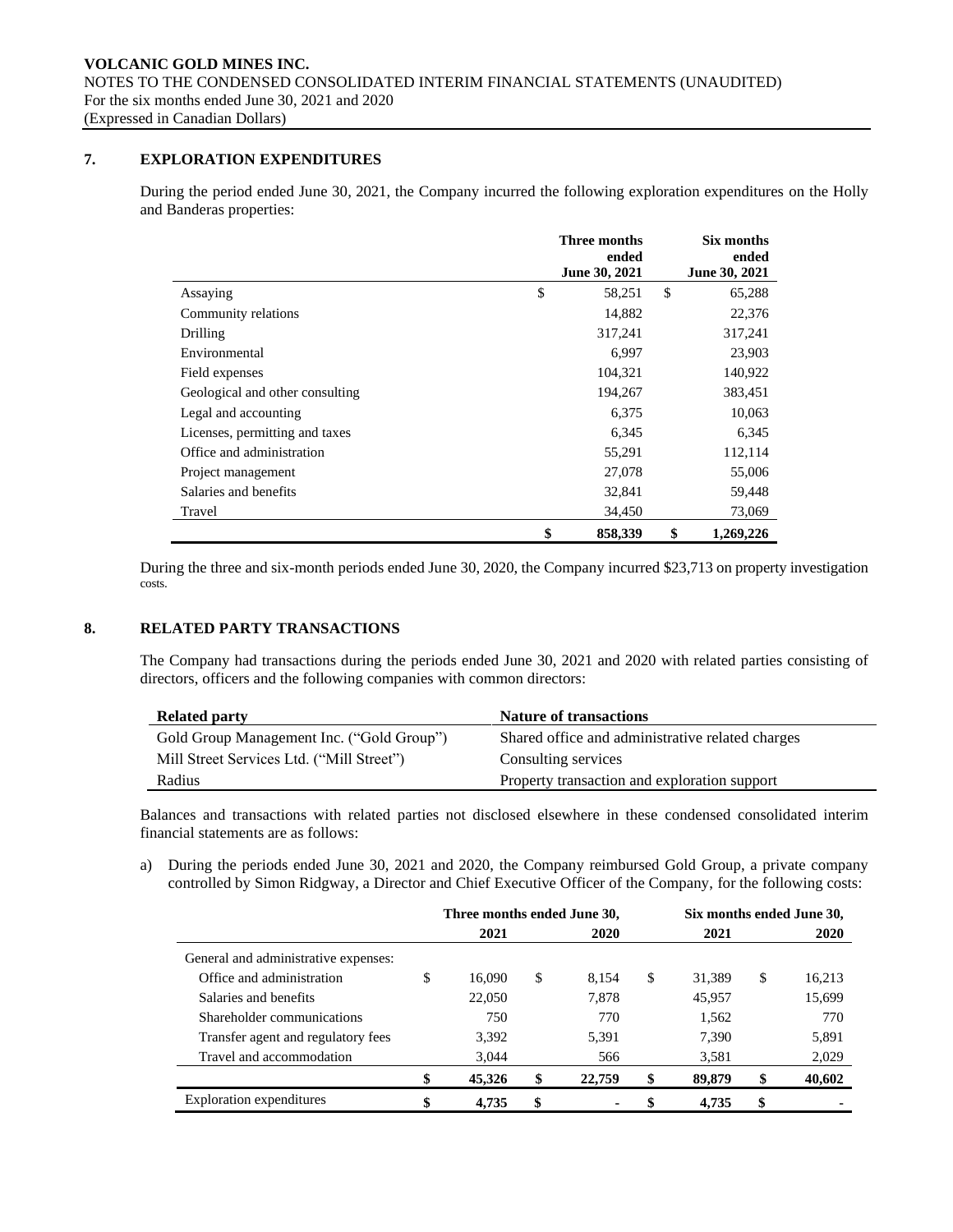# **7. EXPLORATION EXPENDITURES**

During the period ended June 30, 2021, the Company incurred the following exploration expenditures on the Holly and Banderas properties:

|                                 | Three months<br>ended | Six months<br>ended |  |  |
|---------------------------------|-----------------------|---------------------|--|--|
|                                 | June 30, 2021         | June 30, 2021       |  |  |
| Assaying                        | \$<br>58,251          | \$<br>65,288        |  |  |
| Community relations             | 14,882                | 22,376              |  |  |
| Drilling                        | 317,241               | 317,241             |  |  |
| Environmental                   | 6,997                 | 23,903              |  |  |
| Field expenses                  | 104,321               | 140,922             |  |  |
| Geological and other consulting | 194,267               | 383,451             |  |  |
| Legal and accounting            | 6,375                 | 10,063              |  |  |
| Licenses, permitting and taxes  | 6,345                 | 6,345               |  |  |
| Office and administration       | 55,291                | 112,114             |  |  |
| Project management              | 27,078                | 55,006              |  |  |
| Salaries and benefits           | 32,841                | 59,448              |  |  |
| Travel                          | 34,450                | 73,069              |  |  |
|                                 | \$<br>858,339         | \$<br>1,269,226     |  |  |

During the three and six-month periods ended June 30, 2020, the Company incurred \$23,713 on property investigation costs.

# **8. RELATED PARTY TRANSACTIONS**

The Company had transactions during the periods ended June 30, 2021 and 2020 with related parties consisting of directors, officers and the following companies with common directors:

| <b>Related party</b>                      | <b>Nature of transactions</b>                    |
|-------------------------------------------|--------------------------------------------------|
| Gold Group Management Inc. ("Gold Group") | Shared office and administrative related charges |
| Mill Street Services Ltd. ("Mill Street") | Consulting services                              |
| Radius                                    | Property transaction and exploration support     |

Balances and transactions with related parties not disclosed elsewhere in these condensed consolidated interim financial statements are as follows:

a) During the periods ended June 30, 2021 and 2020, the Company reimbursed Gold Group, a private company controlled by Simon Ridgway, a Director and Chief Executive Officer of the Company, for the following costs:

|                                      | Three months ended June 30, |        |    |                |    | Six months ended June 30, |    |        |  |
|--------------------------------------|-----------------------------|--------|----|----------------|----|---------------------------|----|--------|--|
|                                      |                             | 2021   |    | <b>2020</b>    |    | 2021                      |    | 2020   |  |
| General and administrative expenses: |                             |        |    |                |    |                           |    |        |  |
| Office and administration            | \$                          | 16.090 | \$ | 8.154          | \$ | 31.389                    | \$ | 16,213 |  |
| Salaries and benefits                |                             | 22,050 |    | 7,878          |    | 45.957                    |    | 15,699 |  |
| Shareholder communications           |                             | 750    |    | 770            |    | 1,562                     |    | 770    |  |
| Transfer agent and regulatory fees   |                             | 3.392  |    | 5,391          |    | 7.390                     |    | 5,891  |  |
| Travel and accommodation             |                             | 3,044  |    | 566            |    | 3,581                     |    | 2,029  |  |
|                                      |                             | 45,326 | \$ | 22,759         | \$ | 89,879                    | \$ | 40,602 |  |
| Exploration expenditures             | \$                          | 4.735  | \$ | $\blacksquare$ | S  | 4.735                     | \$ |        |  |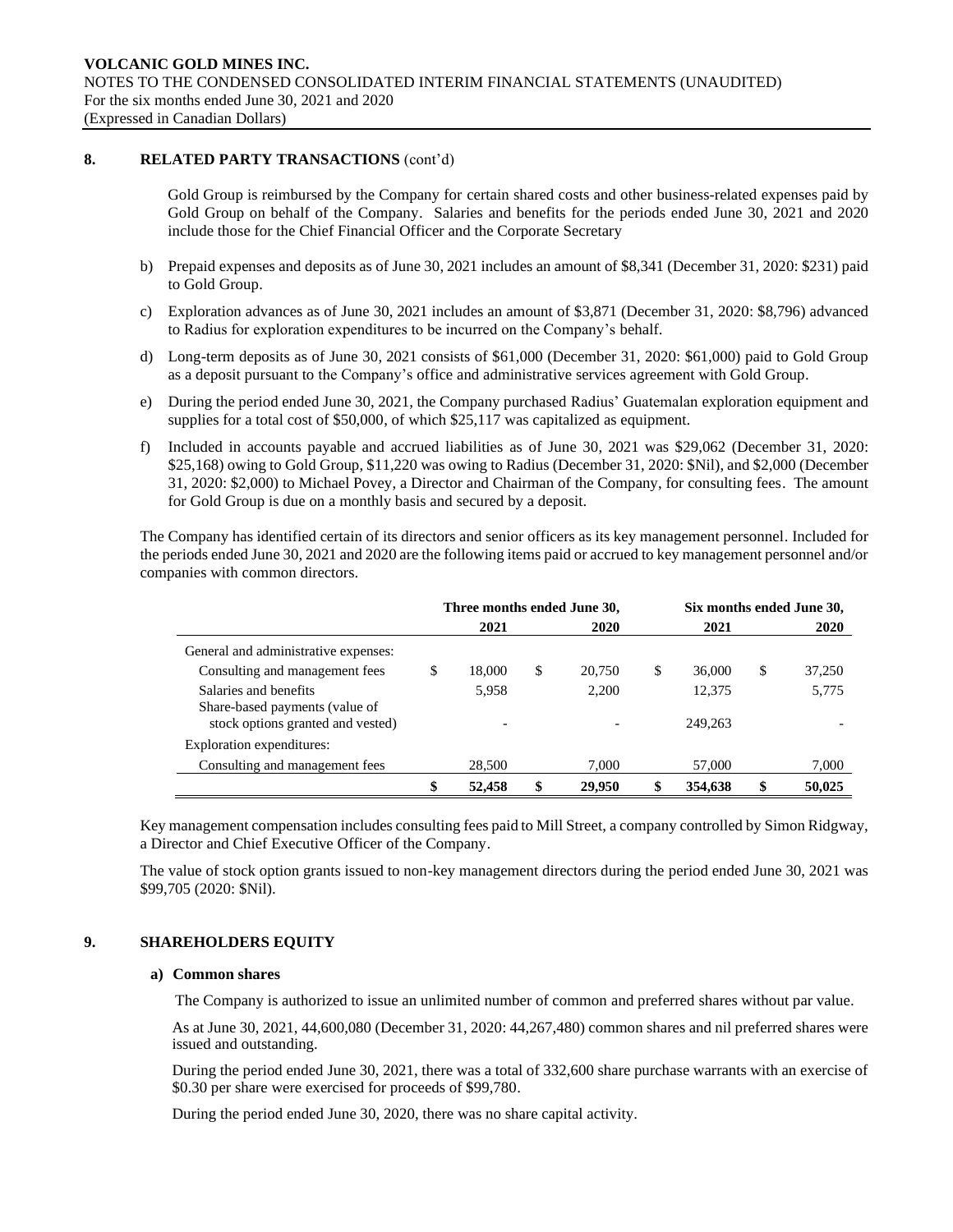## **8. RELATED PARTY TRANSACTIONS** (cont'd)

Gold Group is reimbursed by the Company for certain shared costs and other business-related expenses paid by Gold Group on behalf of the Company. Salaries and benefits for the periods ended June 30, 2021 and 2020 include those for the Chief Financial Officer and the Corporate Secretary

- b) Prepaid expenses and deposits as of June 30, 2021 includes an amount of \$8,341 (December 31, 2020: \$231) paid to Gold Group.
- c) Exploration advances as of June 30, 2021 includes an amount of \$3,871 (December 31, 2020: \$8,796) advanced to Radius for exploration expenditures to be incurred on the Company's behalf.
- d) Long-term deposits as of June 30, 2021 consists of \$61,000 (December 31, 2020: \$61,000) paid to Gold Group as a deposit pursuant to the Company's office and administrative services agreement with Gold Group.
- e) During the period ended June 30, 2021, the Company purchased Radius' Guatemalan exploration equipment and supplies for a total cost of \$50,000, of which \$25,117 was capitalized as equipment.
- f) Included in accounts payable and accrued liabilities as of June 30, 2021 was \$29,062 (December 31, 2020: \$25,168) owing to Gold Group, \$11,220 was owing to Radius (December 31, 2020: \$Nil), and \$2,000 (December 31, 2020: \$2,000) to Michael Povey, a Director and Chairman of the Company, for consulting fees. The amount for Gold Group is due on a monthly basis and secured by a deposit.

The Company has identified certain of its directors and senior officers as its key management personnel. Included for the periods ended June 30, 2021 and 2020 are the following items paid or accrued to key management personnel and/or companies with common directors.

|                                                         | Three months ended June 30, |        |    |             |   | Six months ended June 30, |    |        |  |
|---------------------------------------------------------|-----------------------------|--------|----|-------------|---|---------------------------|----|--------|--|
|                                                         |                             | 2021   |    | <b>2020</b> |   | 2021                      |    | 2020   |  |
| General and administrative expenses:                    |                             |        |    |             |   |                           |    |        |  |
| Consulting and management fees                          | \$                          | 18,000 | \$ | 20.750      | S | 36,000                    | \$ | 37,250 |  |
| Salaries and benefits<br>Share-based payments (value of |                             | 5.958  |    | 2.200       |   | 12.375                    |    | 5,775  |  |
| stock options granted and vested)                       |                             |        |    |             |   | 249.263                   |    |        |  |
| Exploration expenditures:                               |                             |        |    |             |   |                           |    |        |  |
| Consulting and management fees                          |                             | 28,500 |    | 7.000       |   | 57,000                    |    | 7,000  |  |
|                                                         | \$                          | 52,458 | \$ | 29,950      |   | 354,638                   | \$ | 50.025 |  |

Key management compensation includes consulting fees paid to Mill Street, a company controlled by Simon Ridgway, a Director and Chief Executive Officer of the Company.

The value of stock option grants issued to non-key management directors during the period ended June 30, 2021 was \$99,705 (2020: \$Nil).

## **9. SHAREHOLDERS EQUITY**

## **a) Common shares**

The Company is authorized to issue an unlimited number of common and preferred shares without par value.

As at June 30, 2021, 44,600,080 (December 31, 2020: 44,267,480) common shares and nil preferred shares were issued and outstanding.

During the period ended June 30, 2021, there was a total of 332,600 share purchase warrants with an exercise of \$0.30 per share were exercised for proceeds of \$99,780.

During the period ended June 30, 2020, there was no share capital activity.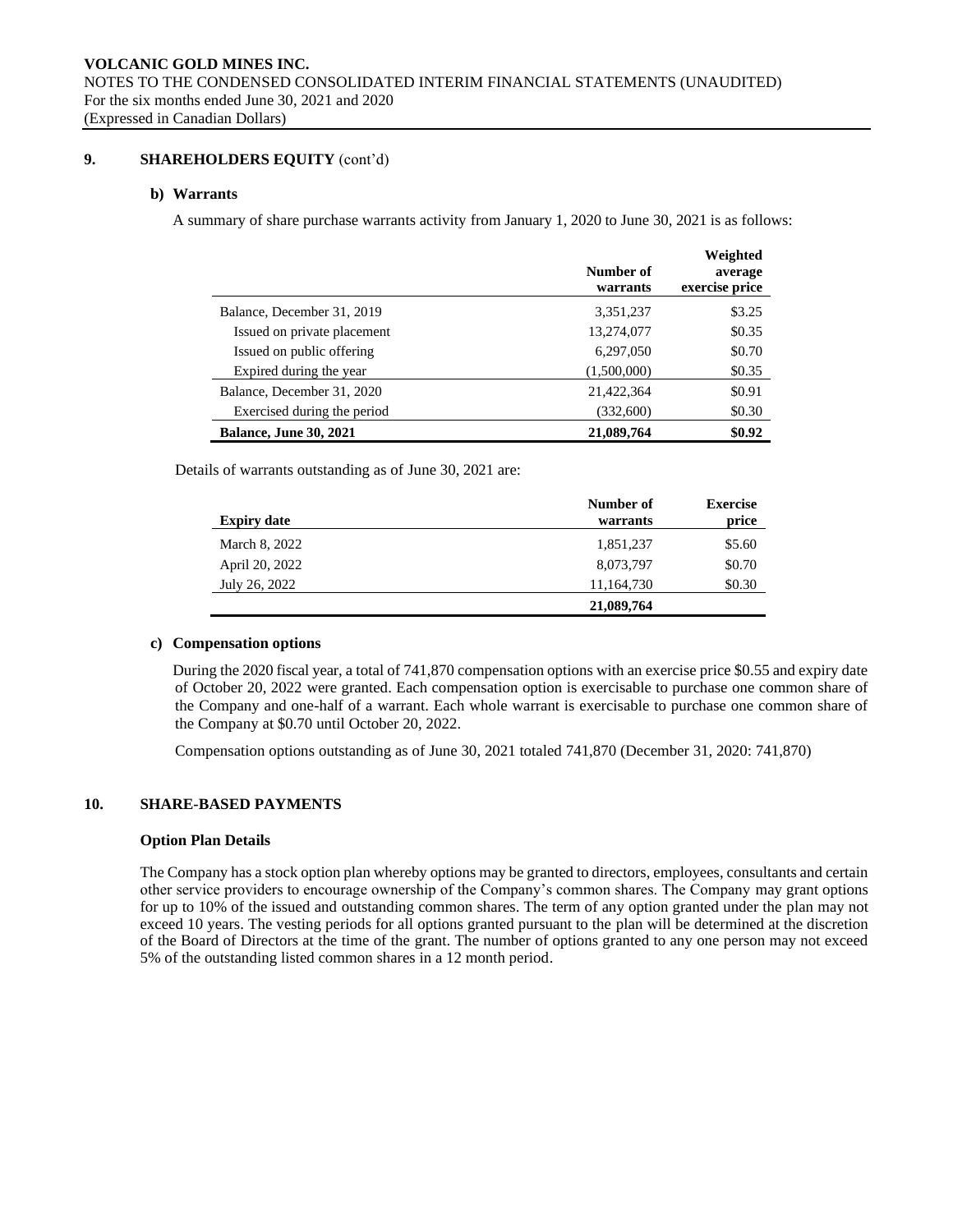# **9. SHAREHOLDERS EQUITY** (cont'd)

## **b) Warrants**

A summary of share purchase warrants activity from January 1, 2020 to June 30, 2021 is as follows:

|                               | Number of<br>warrants | Weighted<br>average<br>exercise price |
|-------------------------------|-----------------------|---------------------------------------|
| Balance, December 31, 2019    | 3,351,237             | \$3.25                                |
| Issued on private placement   | 13,274,077            | \$0.35                                |
| Issued on public offering     | 6,297,050             | \$0.70                                |
| Expired during the year       | (1,500,000)           | \$0.35                                |
| Balance, December 31, 2020    | 21,422,364            | \$0.91                                |
| Exercised during the period   | (332,600)             | \$0.30                                |
| <b>Balance, June 30, 2021</b> | 21,089,764            | \$0.92                                |

Details of warrants outstanding as of June 30, 2021 are:

| <b>Expiry date</b> | Number of<br>warrants | <b>Exercise</b><br>price |
|--------------------|-----------------------|--------------------------|
| March 8, 2022      | 1,851,237             | \$5.60                   |
| April 20, 2022     | 8,073,797             | \$0.70                   |
| July 26, 2022      | 11,164,730            | \$0.30                   |
|                    | 21,089,764            |                          |

#### **c) Compensation options**

During the 2020 fiscal year, a total of 741,870 compensation options with an exercise price \$0.55 and expiry date of October 20, 2022 were granted. Each compensation option is exercisable to purchase one common share of the Company and one-half of a warrant. Each whole warrant is exercisable to purchase one common share of the Company at \$0.70 until October 20, 2022.

Compensation options outstanding as of June 30, 2021 totaled 741,870 (December 31, 2020: 741,870)

# **10. SHARE-BASED PAYMENTS**

## **Option Plan Details**

The Company has a stock option plan whereby options may be granted to directors, employees, consultants and certain other service providers to encourage ownership of the Company's common shares. The Company may grant options for up to 10% of the issued and outstanding common shares. The term of any option granted under the plan may not exceed 10 years. The vesting periods for all options granted pursuant to the plan will be determined at the discretion of the Board of Directors at the time of the grant. The number of options granted to any one person may not exceed 5% of the outstanding listed common shares in a 12 month period.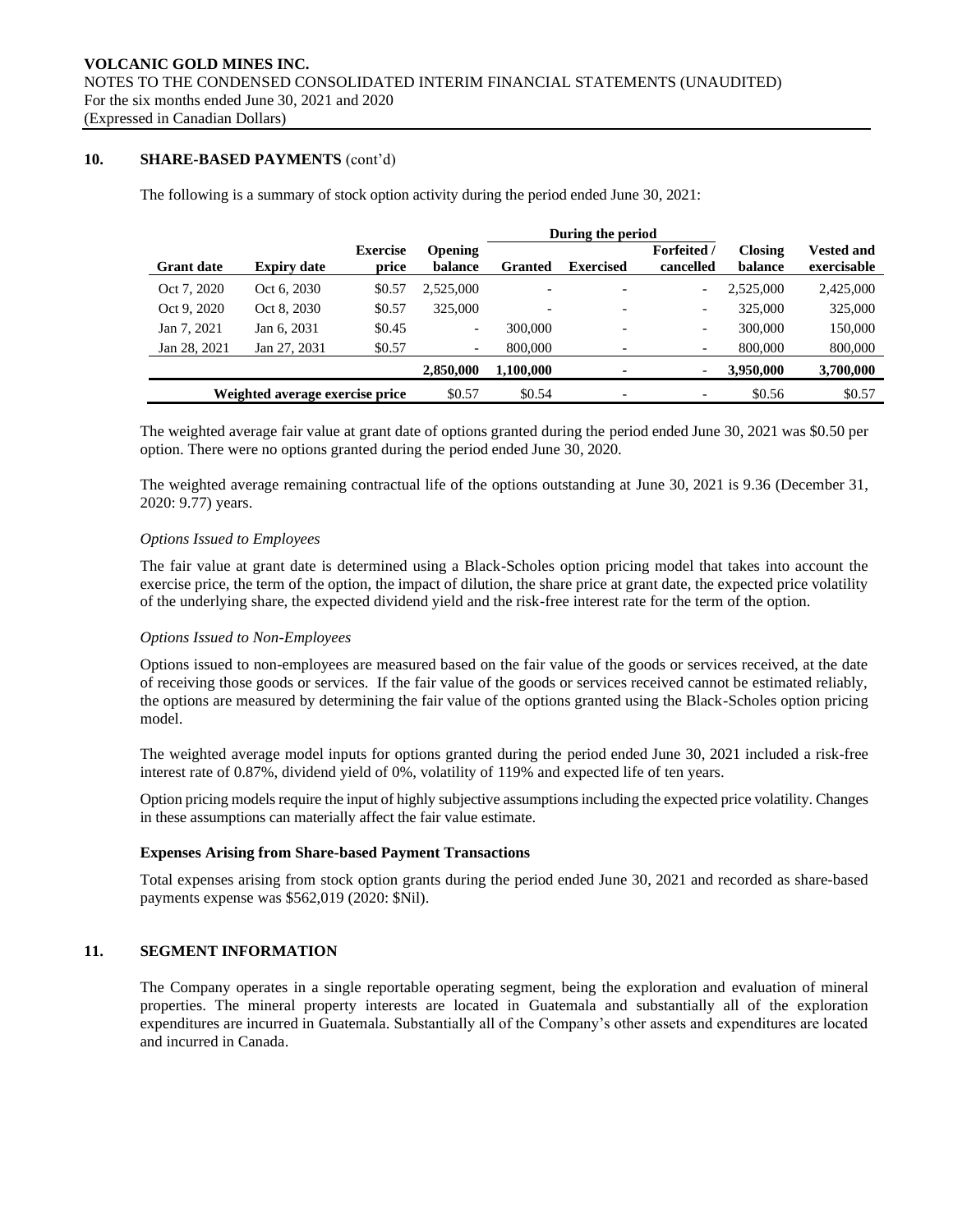# **10. SHARE-BASED PAYMENTS** (cont'd)

The following is a summary of stock option activity during the period ended June 30, 2021:

|                   |                                 |                          | During the period         |           |                          |                                 |                           |                                  |  |
|-------------------|---------------------------------|--------------------------|---------------------------|-----------|--------------------------|---------------------------------|---------------------------|----------------------------------|--|
| <b>Grant date</b> | <b>Expiry date</b>              | <b>Exercise</b><br>price | <b>Opening</b><br>balance | Granted   | <b>Exercised</b>         | <b>Forfeited</b> /<br>cancelled | <b>Closing</b><br>balance | <b>Vested and</b><br>exercisable |  |
| Oct 7, 2020       | Oct 6, 2030                     | \$0.57                   | 2.525,000                 |           | $\overline{a}$           | $\overline{\phantom{a}}$        | 2,525,000                 | 2,425,000                        |  |
| Oct 9, 2020       | Oct 8, 2030                     | \$0.57                   | 325,000                   |           | $\overline{\phantom{a}}$ | $\overline{\phantom{a}}$        | 325,000                   | 325,000                          |  |
| Jan 7, 2021       | Jan 6, 2031                     | \$0.45                   | $\overline{\phantom{a}}$  | 300,000   | $\overline{\phantom{0}}$ | $\overline{\phantom{a}}$        | 300,000                   | 150,000                          |  |
| Jan 28, 2021      | Jan 27, 2031                    | \$0.57                   | $\overline{\phantom{a}}$  | 800,000   |                          | $\overline{\phantom{a}}$        | 800,000                   | 800,000                          |  |
|                   |                                 |                          | 2,850,000                 | 1.100.000 | ۰                        | $\overline{\phantom{a}}$        | 3,950,000                 | 3,700,000                        |  |
|                   | Weighted average exercise price |                          | \$0.57                    | \$0.54    | $\overline{\phantom{0}}$ | $\overline{\phantom{0}}$        | \$0.56                    | \$0.57                           |  |

The weighted average fair value at grant date of options granted during the period ended June 30, 2021 was \$0.50 per option. There were no options granted during the period ended June 30, 2020.

The weighted average remaining contractual life of the options outstanding at June 30, 2021 is 9.36 (December 31, 2020: 9.77) years.

#### *Options Issued to Employees*

The fair value at grant date is determined using a Black-Scholes option pricing model that takes into account the exercise price, the term of the option, the impact of dilution, the share price at grant date, the expected price volatility of the underlying share, the expected dividend yield and the risk-free interest rate for the term of the option.

## *Options Issued to Non-Employees*

Options issued to non-employees are measured based on the fair value of the goods or services received, at the date of receiving those goods or services. If the fair value of the goods or services received cannot be estimated reliably, the options are measured by determining the fair value of the options granted using the Black-Scholes option pricing model.

The weighted average model inputs for options granted during the period ended June 30, 2021 included a risk-free interest rate of 0.87%, dividend yield of 0%, volatility of 119% and expected life of ten years.

Option pricing models require the input of highly subjective assumptions including the expected price volatility. Changes in these assumptions can materially affect the fair value estimate.

## **Expenses Arising from Share-based Payment Transactions**

Total expenses arising from stock option grants during the period ended June 30, 2021 and recorded as share-based payments expense was \$562,019 (2020: \$Nil).

# **11. SEGMENT INFORMATION**

The Company operates in a single reportable operating segment, being the exploration and evaluation of mineral properties. The mineral property interests are located in Guatemala and substantially all of the exploration expenditures are incurred in Guatemala. Substantially all of the Company's other assets and expenditures are located and incurred in Canada.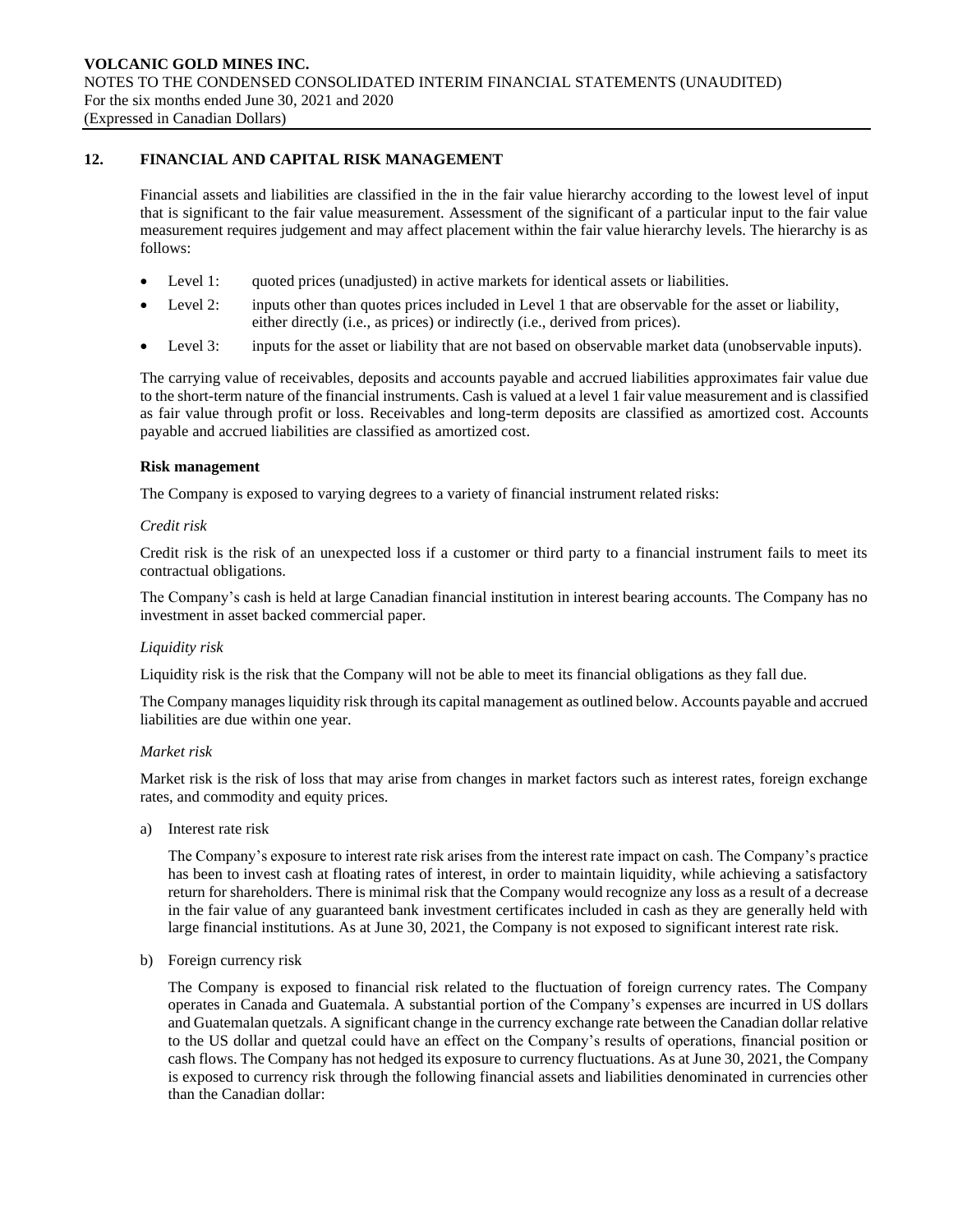# **12. FINANCIAL AND CAPITAL RISK MANAGEMENT**

Financial assets and liabilities are classified in the in the fair value hierarchy according to the lowest level of input that is significant to the fair value measurement. Assessment of the significant of a particular input to the fair value measurement requires judgement and may affect placement within the fair value hierarchy levels. The hierarchy is as follows:

- Level 1: quoted prices (unadjusted) in active markets for identical assets or liabilities.
- Level 2: inputs other than quotes prices included in Level 1 that are observable for the asset or liability, either directly (i.e., as prices) or indirectly (i.e., derived from prices).
- Level 3: inputs for the asset or liability that are not based on observable market data (unobservable inputs).

The carrying value of receivables, deposits and accounts payable and accrued liabilities approximates fair value due to the short-term nature of the financial instruments. Cash is valued at a level 1 fair value measurement and is classified as fair value through profit or loss. Receivables and long-term deposits are classified as amortized cost. Accounts payable and accrued liabilities are classified as amortized cost.

## **Risk management**

The Company is exposed to varying degrees to a variety of financial instrument related risks:

## *Credit risk*

Credit risk is the risk of an unexpected loss if a customer or third party to a financial instrument fails to meet its contractual obligations.

The Company's cash is held at large Canadian financial institution in interest bearing accounts. The Company has no investment in asset backed commercial paper.

## *Liquidity risk*

Liquidity risk is the risk that the Company will not be able to meet its financial obligations as they fall due.

The Company manages liquidity risk through its capital management as outlined below. Accounts payable and accrued liabilities are due within one year.

## *Market risk*

Market risk is the risk of loss that may arise from changes in market factors such as interest rates, foreign exchange rates, and commodity and equity prices.

a) Interest rate risk

The Company's exposure to interest rate risk arises from the interest rate impact on cash. The Company's practice has been to invest cash at floating rates of interest, in order to maintain liquidity, while achieving a satisfactory return for shareholders. There is minimal risk that the Company would recognize any loss as a result of a decrease in the fair value of any guaranteed bank investment certificates included in cash as they are generally held with large financial institutions. As at June 30, 2021, the Company is not exposed to significant interest rate risk.

b) Foreign currency risk

The Company is exposed to financial risk related to the fluctuation of foreign currency rates. The Company operates in Canada and Guatemala. A substantial portion of the Company's expenses are incurred in US dollars and Guatemalan quetzals. A significant change in the currency exchange rate between the Canadian dollar relative to the US dollar and quetzal could have an effect on the Company's results of operations, financial position or cash flows. The Company has not hedged its exposure to currency fluctuations. As at June 30, 2021, the Company is exposed to currency risk through the following financial assets and liabilities denominated in currencies other than the Canadian dollar: